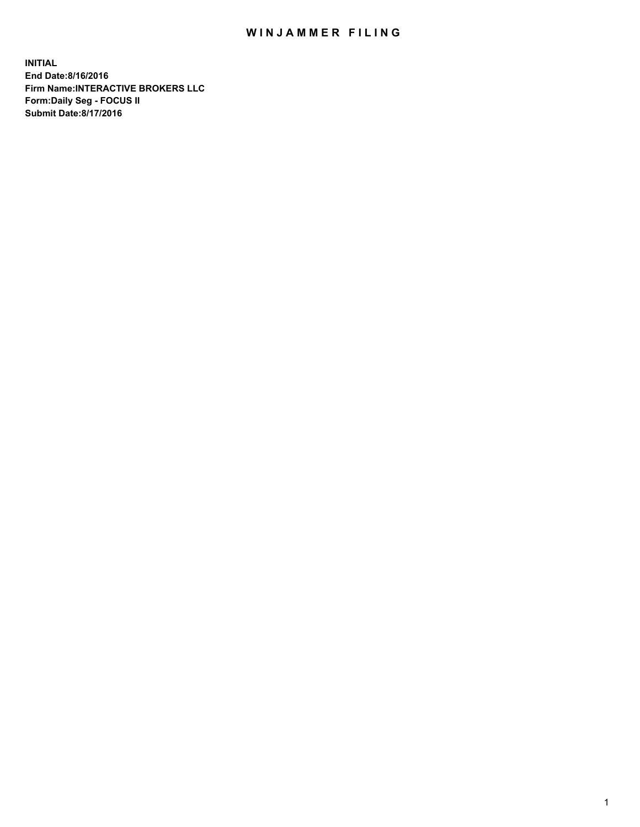## WIN JAMMER FILING

**INITIAL End Date:8/16/2016 Firm Name:INTERACTIVE BROKERS LLC Form:Daily Seg - FOCUS II Submit Date:8/17/2016**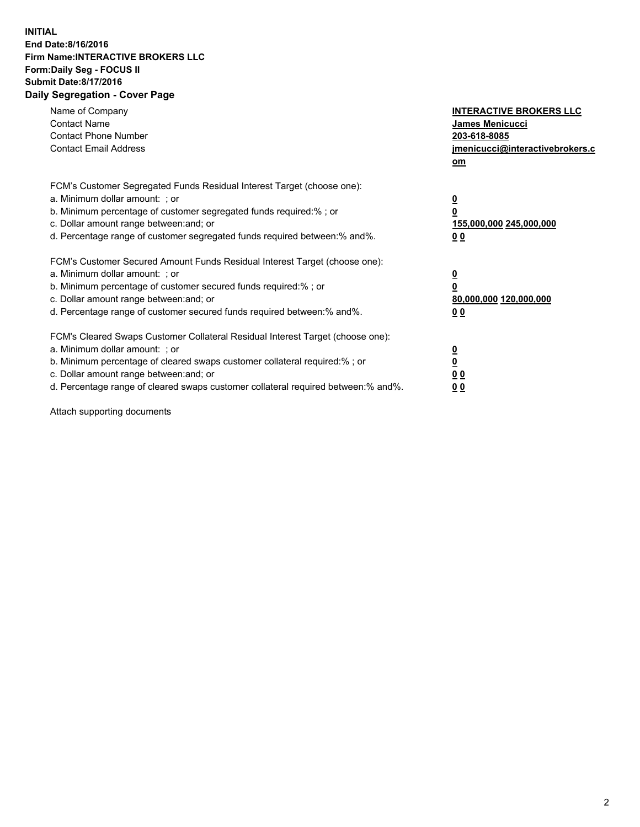## **INITIAL End Date:8/16/2016 Firm Name:INTERACTIVE BROKERS LLC Form:Daily Seg - FOCUS II Submit Date:8/17/2016 Daily Segregation - Cover Page**

| Name of Company<br><b>Contact Name</b><br><b>Contact Phone Number</b><br><b>Contact Email Address</b>                                                                                                                                                                                                                          | <b>INTERACTIVE BROKERS LLC</b><br><b>James Menicucci</b><br>203-618-8085<br>jmenicucci@interactivebrokers.c<br>om |
|--------------------------------------------------------------------------------------------------------------------------------------------------------------------------------------------------------------------------------------------------------------------------------------------------------------------------------|-------------------------------------------------------------------------------------------------------------------|
| FCM's Customer Segregated Funds Residual Interest Target (choose one):<br>a. Minimum dollar amount: ; or<br>b. Minimum percentage of customer segregated funds required:% ; or<br>c. Dollar amount range between: and; or<br>d. Percentage range of customer segregated funds required between: % and %.                       | $\overline{\mathbf{0}}$<br>0<br>155,000,000 245,000,000<br>00                                                     |
| FCM's Customer Secured Amount Funds Residual Interest Target (choose one):<br>a. Minimum dollar amount: ; or<br>b. Minimum percentage of customer secured funds required:%; or<br>c. Dollar amount range between: and; or<br>d. Percentage range of customer secured funds required between: % and %.                          | $\overline{\mathbf{0}}$<br>0<br>80,000,000 120,000,000<br>00                                                      |
| FCM's Cleared Swaps Customer Collateral Residual Interest Target (choose one):<br>a. Minimum dollar amount: ; or<br>b. Minimum percentage of cleared swaps customer collateral required:% ; or<br>c. Dollar amount range between: and; or<br>d. Percentage range of cleared swaps customer collateral required between:% and%. | $\overline{\mathbf{0}}$<br>$\overline{\mathbf{0}}$<br>00<br>0 <sub>0</sub>                                        |

Attach supporting documents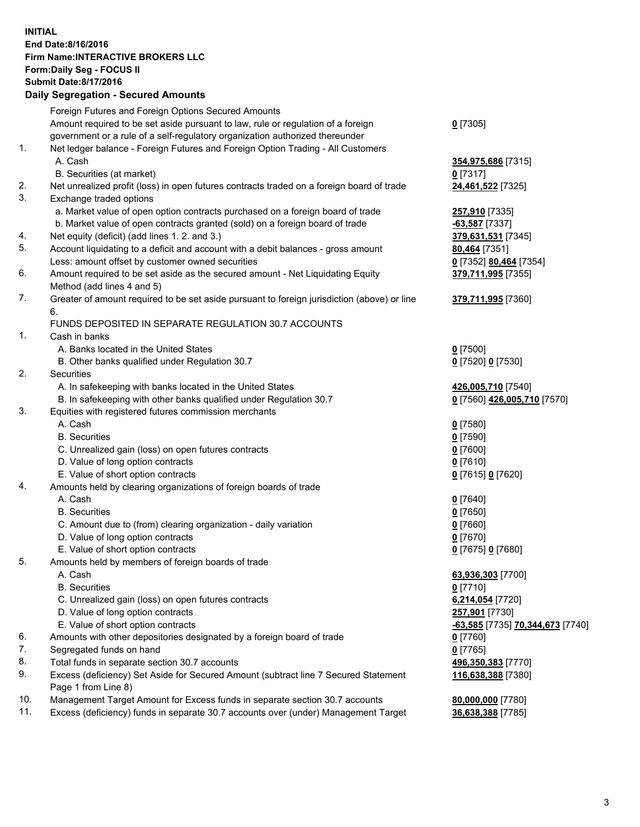## **INITIAL End Date:8/16/2016 Firm Name:INTERACTIVE BROKERS LLC Form:Daily Seg - FOCUS II Submit Date:8/17/2016 Daily Segregation - Secured Amounts**

|     | Daily Jegregation - Jeculed Aniounts                                                                       |                                  |
|-----|------------------------------------------------------------------------------------------------------------|----------------------------------|
|     | Foreign Futures and Foreign Options Secured Amounts                                                        |                                  |
|     | Amount required to be set aside pursuant to law, rule or regulation of a foreign                           | $0$ [7305]                       |
|     | government or a rule of a self-regulatory organization authorized thereunder                               |                                  |
| 1.  | Net ledger balance - Foreign Futures and Foreign Option Trading - All Customers                            |                                  |
|     | A. Cash                                                                                                    | 354,975,686 [7315]               |
|     | B. Securities (at market)                                                                                  | 0 [7317]                         |
| 2.  | Net unrealized profit (loss) in open futures contracts traded on a foreign board of trade                  | 24,461,522 [7325]                |
| 3.  | Exchange traded options                                                                                    |                                  |
|     | a. Market value of open option contracts purchased on a foreign board of trade                             | 257,910 [7335]                   |
|     | b. Market value of open contracts granted (sold) on a foreign board of trade                               | $-63,587$ [7337]                 |
| 4.  | Net equity (deficit) (add lines 1.2. and 3.)                                                               | 379,631,531 [7345]               |
| 5.  | Account liquidating to a deficit and account with a debit balances - gross amount                          | 80,464 [7351]                    |
|     | Less: amount offset by customer owned securities                                                           | 0 [7352] 80,464 [7354]           |
| 6.  | Amount required to be set aside as the secured amount - Net Liquidating Equity                             | 379,711,995 [7355]               |
|     | Method (add lines 4 and 5)                                                                                 |                                  |
| 7.  | Greater of amount required to be set aside pursuant to foreign jurisdiction (above) or line                | 379,711,995 [7360]               |
|     | 6.                                                                                                         |                                  |
|     | FUNDS DEPOSITED IN SEPARATE REGULATION 30.7 ACCOUNTS                                                       |                                  |
| 1.  | Cash in banks                                                                                              |                                  |
|     | A. Banks located in the United States                                                                      | $0$ [7500]                       |
|     | B. Other banks qualified under Regulation 30.7                                                             | 0 [7520] 0 [7530]                |
| 2.  | Securities                                                                                                 |                                  |
|     | A. In safekeeping with banks located in the United States                                                  | 426,005,710 [7540]               |
|     | B. In safekeeping with other banks qualified under Regulation 30.7                                         | 0 [7560] 426,005,710 [7570]      |
| 3.  | Equities with registered futures commission merchants                                                      |                                  |
|     | A. Cash                                                                                                    | $0$ [7580]                       |
|     | <b>B.</b> Securities                                                                                       | $0$ [7590]                       |
|     | C. Unrealized gain (loss) on open futures contracts                                                        | $0$ [7600]                       |
|     | D. Value of long option contracts                                                                          | $0$ [7610]                       |
|     | E. Value of short option contracts                                                                         | 0 [7615] 0 [7620]                |
| 4.  | Amounts held by clearing organizations of foreign boards of trade                                          |                                  |
|     | A. Cash                                                                                                    | $0$ [7640]                       |
|     | <b>B.</b> Securities                                                                                       | $0$ [7650]                       |
|     | C. Amount due to (from) clearing organization - daily variation                                            | $0$ [7660]                       |
|     | D. Value of long option contracts                                                                          | $0$ [7670]                       |
|     | E. Value of short option contracts                                                                         | 0 [7675] 0 [7680]                |
| 5.  | Amounts held by members of foreign boards of trade                                                         |                                  |
|     | A. Cash                                                                                                    | 63,936,303 [7700]                |
|     | <b>B.</b> Securities                                                                                       | $0$ [7710]                       |
|     | C. Unrealized gain (loss) on open futures contracts                                                        | 6,214,054 [7720]                 |
|     | D. Value of long option contracts                                                                          | 257,901 [7730]                   |
|     | E. Value of short option contracts                                                                         | -63,585 [7735] 70,344,673 [7740] |
| 6.  | Amounts with other depositories designated by a foreign board of trade                                     | $0$ [7760]                       |
| 7.  | Segregated funds on hand                                                                                   | $0$ [7765]                       |
| 8.  | Total funds in separate section 30.7 accounts                                                              | 496,350,383 [7770]               |
| 9.  | Excess (deficiency) Set Aside for Secured Amount (subtract line 7 Secured Statement<br>Page 1 from Line 8) | 116,638,388 [7380]               |
| 10. | Management Target Amount for Excess funds in separate section 30.7 accounts                                | 80,000,000 [7780]                |
| 11. | Excess (deficiency) funds in separate 30.7 accounts over (under) Management Target                         | 36,638,388 [7785]                |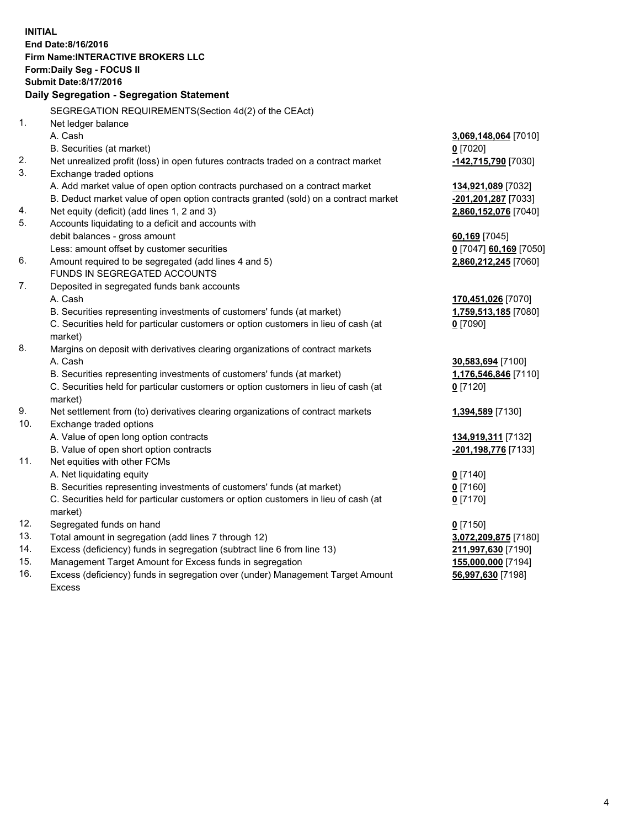**INITIAL End Date:8/16/2016 Firm Name:INTERACTIVE BROKERS LLC Form:Daily Seg - FOCUS II Submit Date:8/17/2016 Daily Segregation - Segregation Statement** SEGREGATION REQUIREMENTS(Section 4d(2) of the CEAct) 1. Net ledger balance A. Cash **3,069,148,064** [7010] B. Securities (at market) **0** [7020] 2. Net unrealized profit (loss) in open futures contracts traded on a contract market **-142,715,790** [7030] 3. Exchange traded options A. Add market value of open option contracts purchased on a contract market **134,921,089** [7032] B. Deduct market value of open option contracts granted (sold) on a contract market **-201,201,287** [7033] 4. Net equity (deficit) (add lines 1, 2 and 3) **2,860,152,076** [7040] 5. Accounts liquidating to a deficit and accounts with debit balances - gross amount **60,169** [7045] Less: amount offset by customer securities **0** [7047] **60,169** [7050] 6. Amount required to be segregated (add lines 4 and 5) **2,860,212,245** [7060] FUNDS IN SEGREGATED ACCOUNTS 7. Deposited in segregated funds bank accounts A. Cash **170,451,026** [7070] B. Securities representing investments of customers' funds (at market) **1,759,513,185** [7080] C. Securities held for particular customers or option customers in lieu of cash (at market) **0** [7090] 8. Margins on deposit with derivatives clearing organizations of contract markets A. Cash **30,583,694** [7100] B. Securities representing investments of customers' funds (at market) **1,176,546,846** [7110] C. Securities held for particular customers or option customers in lieu of cash (at market) **0** [7120] 9. Net settlement from (to) derivatives clearing organizations of contract markets **1,394,589** [7130] 10. Exchange traded options A. Value of open long option contracts **134,919,311** [7132] B. Value of open short option contracts **-201,198,776** [7133] 11. Net equities with other FCMs A. Net liquidating equity **0** [7140] B. Securities representing investments of customers' funds (at market) **0** [7160] C. Securities held for particular customers or option customers in lieu of cash (at market) **0** [7170] 12. Segregated funds on hand **0** [7150] 13. Total amount in segregation (add lines 7 through 12) **3,072,209,875** [7180] 14. Excess (deficiency) funds in segregation (subtract line 6 from line 13) **211,997,630** [7190] 15. Management Target Amount for Excess funds in segregation **155,000,000** [7194]

16. Excess (deficiency) funds in segregation over (under) Management Target Amount Excess

**56,997,630** [7198]